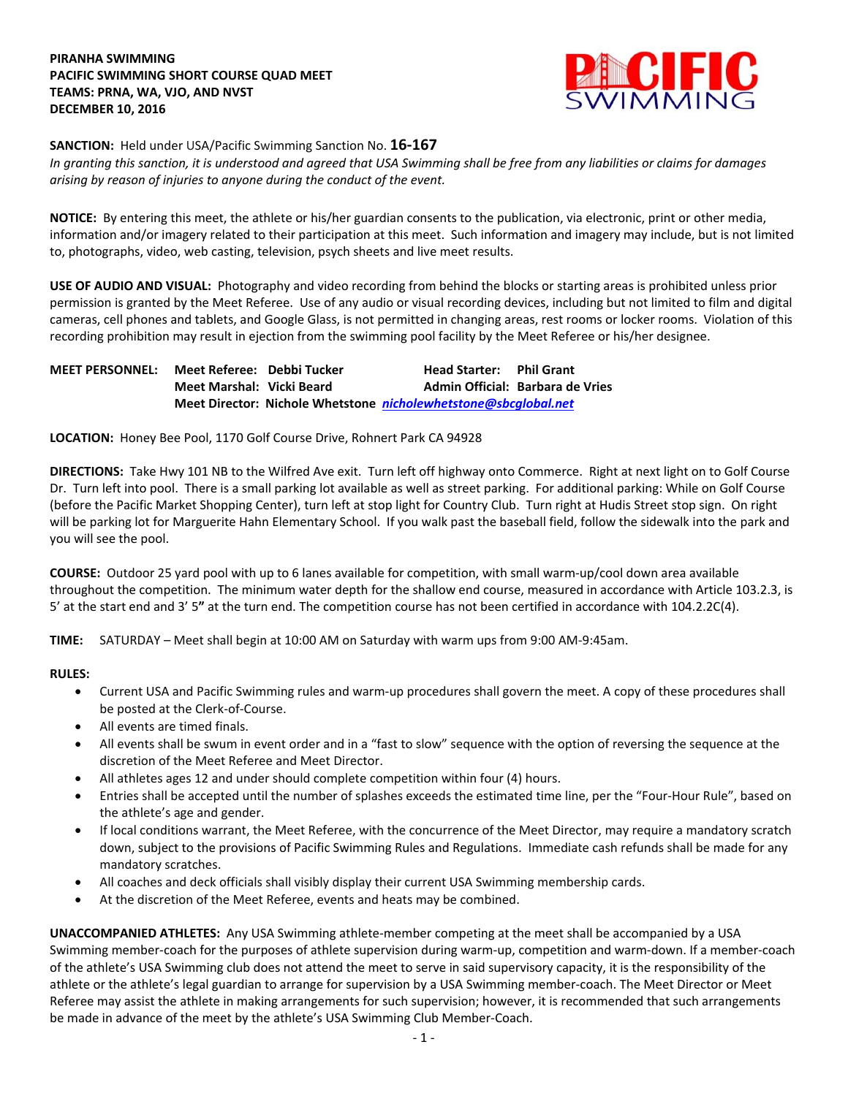## **PIRANHA SWIMMING PACIFIC SWIMMING SHORT COURSE QUAD MEET TEAMS: PRNA, WA, VJO, AND NVST DECEMBER 10, 2016**



**SANCTION:** Held under USA/Pacific Swimming Sanction No. **16-167**

*In granting this sanction, it is understood and agreed that USA Swimming shall be free from any liabilities or claims for damages arising by reason of injuries to anyone during the conduct of the event.*

**NOTICE:** By entering this meet, the athlete or his/her guardian consents to the publication, via electronic, print or other media, information and/or imagery related to their participation at this meet. Such information and imagery may include, but is not limited to, photographs, video, web casting, television, psych sheets and live meet results.

**USE OF AUDIO AND VISUAL:** Photography and video recording from behind the blocks or starting areas is prohibited unless prior permission is granted by the Meet Referee. Use of any audio or visual recording devices, including but not limited to film and digital cameras, cell phones and tablets, and Google Glass, is not permitted in changing areas, rest rooms or locker rooms. Violation of this recording prohibition may result in ejection from the swimming pool facility by the Meet Referee or his/her designee.

**MEET PERSONNEL: Meet Referee: Debbi Tucker Head Starter: Phil Grant Meet Marshal: Vicki Beard Admin Official: Barbara de Vries Meet Director: Nichole Whetstone** *[nicholewhetstone@sbcglobal.net](mailto:nicholewhetstone@sbcglobal.net)*

**LOCATION:** Honey Bee Pool, 1170 Golf Course Drive, Rohnert Park CA 94928

**DIRECTIONS:** Take Hwy 101 NB to the Wilfred Ave exit. Turn left off highway onto Commerce. Right at next light on to Golf Course Dr. Turn left into pool. There is a small parking lot available as well as street parking. For additional parking: While on Golf Course (before the Pacific Market Shopping Center), turn left at stop light for Country Club. Turn right at Hudis Street stop sign. On right will be parking lot for Marguerite Hahn Elementary School. If you walk past the baseball field, follow the sidewalk into the park and you will see the pool.

**COURSE:** Outdoor 25 yard pool with up to 6 lanes available for competition, with small warm-up/cool down area available throughout the competition. The minimum water depth for the shallow end course, measured in accordance with Article 103.2.3, is 5' at the start end and 3' 5**"** at the turn end. The competition course has not been certified in accordance with 104.2.2C(4).

**TIME:** SATURDAY – Meet shall begin at 10:00 AM on Saturday with warm ups from 9:00 AM-9:45am.

## **RULES:**

- Current USA and Pacific Swimming rules and warm-up procedures shall govern the meet. A copy of these procedures shall be posted at the Clerk-of-Course.
- All events are timed finals.
- All events shall be swum in event order and in a "fast to slow" sequence with the option of reversing the sequence at the discretion of the Meet Referee and Meet Director.
- All athletes ages 12 and under should complete competition within four (4) hours.
- Entries shall be accepted until the number of splashes exceeds the estimated time line, per the "Four-Hour Rule", based on the athlete's age and gender.
- If local conditions warrant, the Meet Referee, with the concurrence of the Meet Director, may require a mandatory scratch down, subject to the provisions of Pacific Swimming Rules and Regulations. Immediate cash refunds shall be made for any mandatory scratches.
- All coaches and deck officials shall visibly display their current USA Swimming membership cards.
- At the discretion of the Meet Referee, events and heats may be combined.

**UNACCOMPANIED ATHLETES:** Any USA Swimming athlete-member competing at the meet shall be accompanied by a USA Swimming member-coach for the purposes of athlete supervision during warm-up, competition and warm-down. If a member-coach of the athlete's USA Swimming club does not attend the meet to serve in said supervisory capacity, it is the responsibility of the athlete or the athlete's legal guardian to arrange for supervision by a USA Swimming member-coach. The Meet Director or Meet Referee may assist the athlete in making arrangements for such supervision; however, it is recommended that such arrangements be made in advance of the meet by the athlete's USA Swimming Club Member-Coach.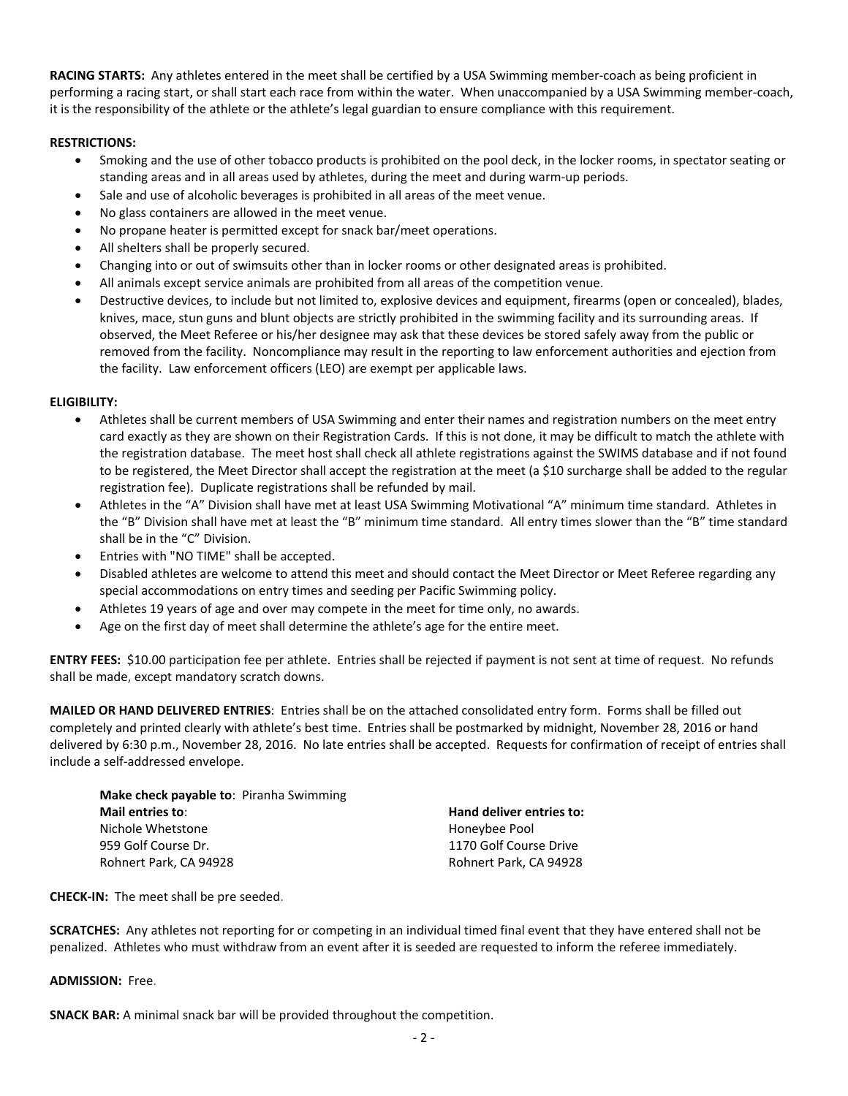**RACING STARTS:** Any athletes entered in the meet shall be certified by a USA Swimming member-coach as being proficient in performing a racing start, or shall start each race from within the water. When unaccompanied by a USA Swimming member-coach, it is the responsibility of the athlete or the athlete's legal guardian to ensure compliance with this requirement.

## **RESTRICTIONS:**

- Smoking and the use of other tobacco products is prohibited on the pool deck, in the locker rooms, in spectator seating or standing areas and in all areas used by athletes, during the meet and during warm-up periods.
- Sale and use of alcoholic beverages is prohibited in all areas of the meet venue.
- No glass containers are allowed in the meet venue.
- No propane heater is permitted except for snack bar/meet operations.
- All shelters shall be properly secured.
- Changing into or out of swimsuits other than in locker rooms or other designated areas is prohibited.
- All animals except service animals are prohibited from all areas of the competition venue.
- Destructive devices, to include but not limited to, explosive devices and equipment, firearms (open or concealed), blades, knives, mace, stun guns and blunt objects are strictly prohibited in the swimming facility and its surrounding areas. If observed, the Meet Referee or his/her designee may ask that these devices be stored safely away from the public or removed from the facility. Noncompliance may result in the reporting to law enforcement authorities and ejection from the facility. Law enforcement officers (LEO) are exempt per applicable laws.

## **ELIGIBILITY:**

- Athletes shall be current members of USA Swimming and enter their names and registration numbers on the meet entry card exactly as they are shown on their Registration Cards. If this is not done, it may be difficult to match the athlete with the registration database. The meet host shall check all athlete registrations against the SWIMS database and if not found to be registered, the Meet Director shall accept the registration at the meet (a \$10 surcharge shall be added to the regular registration fee). Duplicate registrations shall be refunded by mail.
- Athletes in the "A" Division shall have met at least USA Swimming Motivational "A" minimum time standard. Athletes in the "B" Division shall have met at least the "B" minimum time standard. All entry times slower than the "B" time standard shall be in the "C" Division.
- Entries with "NO TIME" shall be accepted.
- Disabled athletes are welcome to attend this meet and should contact the Meet Director or Meet Referee regarding any special accommodations on entry times and seeding per Pacific Swimming policy.
- Athletes 19 years of age and over may compete in the meet for time only, no awards.
- Age on the first day of meet shall determine the athlete's age for the entire meet.

**ENTRY FEES:** \$10.00 participation fee per athlete. Entries shall be rejected if payment is not sent at time of request. No refunds shall be made, except mandatory scratch downs.

**MAILED OR HAND DELIVERED ENTRIES**: Entries shall be on the attached consolidated entry form. Forms shall be filled out completely and printed clearly with athlete's best time. Entries shall be postmarked by midnight, November 28, 2016 or hand delivered by 6:30 p.m., November 28, 2016. No late entries shall be accepted. Requests for confirmation of receipt of entries shall include a self-addressed envelope.

**Make check payable to**: Piranha Swimming **Mail entries to**: **Hand deliver entries to:** Nichole Whetstone Honeybee Pool Rohnert Park, CA 94928 **Rohnert Park, CA 94928** 

1170 Golf Course Drive

**CHECK-IN:** The meet shall be pre seeded.

**SCRATCHES:** Any athletes not reporting for or competing in an individual timed final event that they have entered shall not be penalized. Athletes who must withdraw from an event after it is seeded are requested to inform the referee immediately.

**ADMISSION:** Free.

**SNACK BAR:** A minimal snack bar will be provided throughout the competition.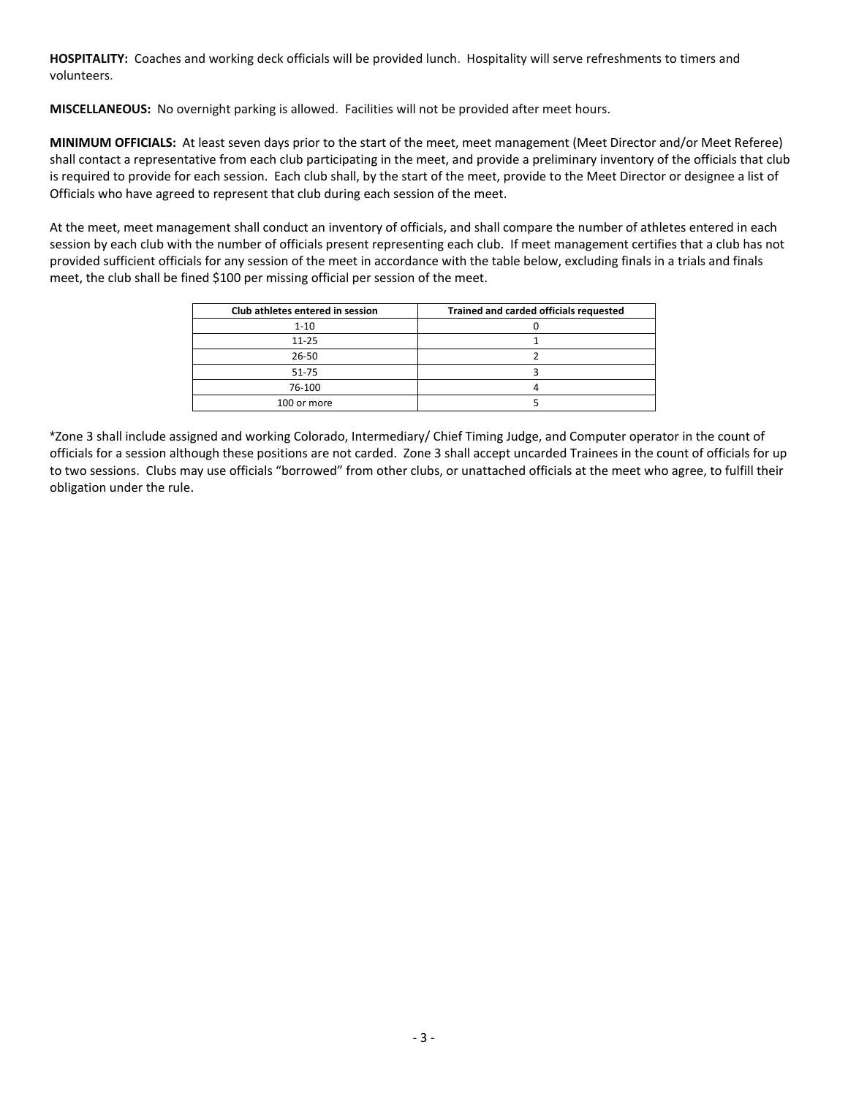**HOSPITALITY:** Coaches and working deck officials will be provided lunch. Hospitality will serve refreshments to timers and volunteers.

**MISCELLANEOUS:** No overnight parking is allowed. Facilities will not be provided after meet hours.

**MINIMUM OFFICIALS:** At least seven days prior to the start of the meet, meet management (Meet Director and/or Meet Referee) shall contact a representative from each club participating in the meet, and provide a preliminary inventory of the officials that club is required to provide for each session. Each club shall, by the start of the meet, provide to the Meet Director or designee a list of Officials who have agreed to represent that club during each session of the meet.

At the meet, meet management shall conduct an inventory of officials, and shall compare the number of athletes entered in each session by each club with the number of officials present representing each club. If meet management certifies that a club has not provided sufficient officials for any session of the meet in accordance with the table below, excluding finals in a trials and finals meet, the club shall be fined \$100 per missing official per session of the meet.

| Club athletes entered in session | Trained and carded officials requested |  |  |  |  |  |
|----------------------------------|----------------------------------------|--|--|--|--|--|
| $1 - 10$                         |                                        |  |  |  |  |  |
| $11 - 25$                        |                                        |  |  |  |  |  |
| 26-50                            |                                        |  |  |  |  |  |
| $51 - 75$                        |                                        |  |  |  |  |  |
| 76-100                           |                                        |  |  |  |  |  |
| 100 or more                      |                                        |  |  |  |  |  |

\*Zone 3 shall include assigned and working Colorado, Intermediary/ Chief Timing Judge, and Computer operator in the count of officials for a session although these positions are not carded. Zone 3 shall accept uncarded Trainees in the count of officials for up to two sessions. Clubs may use officials "borrowed" from other clubs, or unattached officials at the meet who agree, to fulfill their obligation under the rule.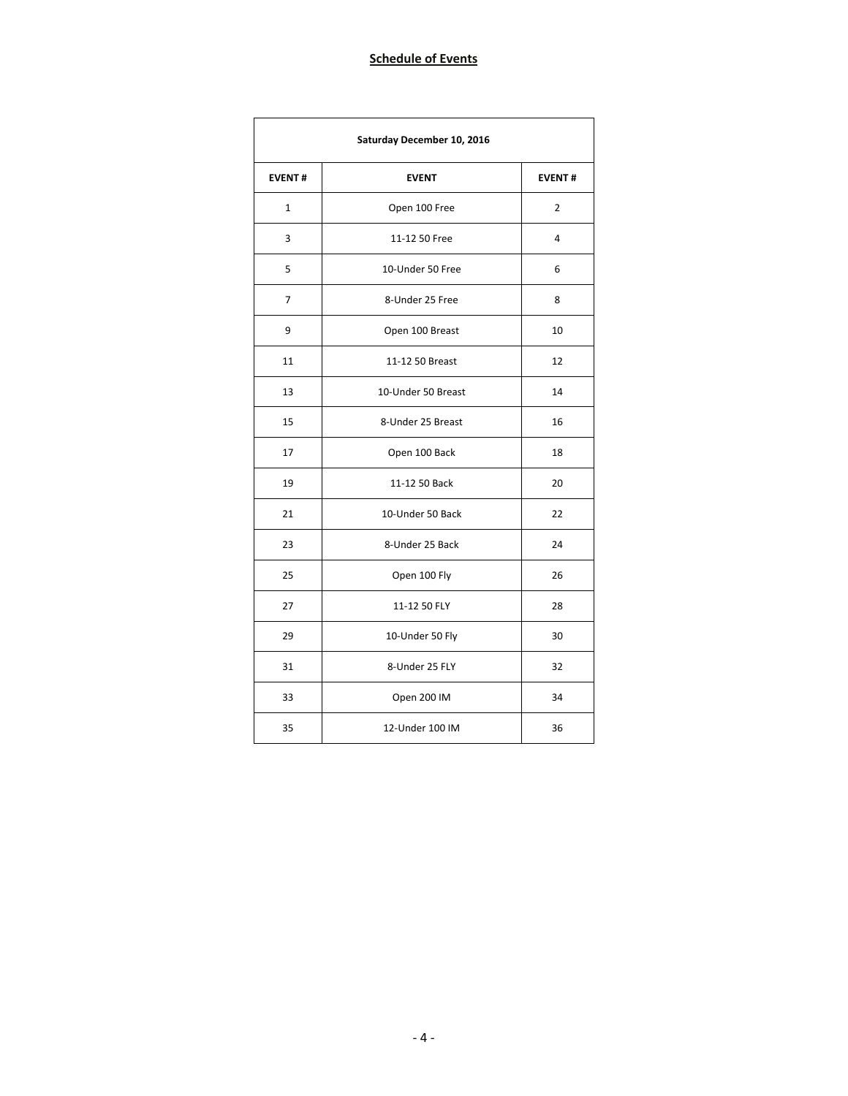| Saturday December 10, 2016 |                    |                |  |  |  |  |  |
|----------------------------|--------------------|----------------|--|--|--|--|--|
| <b>EVENT#</b>              | <b>EVENT</b>       | <b>EVENT#</b>  |  |  |  |  |  |
| $\mathbf{1}$               | Open 100 Free      | $\overline{2}$ |  |  |  |  |  |
| 3                          | 11-12 50 Free      | 4              |  |  |  |  |  |
| 5                          | 10-Under 50 Free   | 6              |  |  |  |  |  |
| 7                          | 8-Under 25 Free    | 8              |  |  |  |  |  |
| 9                          | Open 100 Breast    | 10             |  |  |  |  |  |
| 11                         | 11-12 50 Breast    | 12             |  |  |  |  |  |
| 13                         | 10-Under 50 Breast | 14             |  |  |  |  |  |
| 15                         | 8-Under 25 Breast  | 16             |  |  |  |  |  |
| 17                         | Open 100 Back      | 18             |  |  |  |  |  |
| 19                         | 11-12 50 Back      | 20             |  |  |  |  |  |
| 21                         | 10-Under 50 Back   | 22             |  |  |  |  |  |
| 23                         | 8-Under 25 Back    | 24             |  |  |  |  |  |
| 25                         | Open 100 Fly       | 26             |  |  |  |  |  |
| 27                         | 11-12 50 FLY       | 28             |  |  |  |  |  |
| 29                         | 10-Under 50 Fly    | 30             |  |  |  |  |  |
| 31                         | 8-Under 25 FLY     | 32             |  |  |  |  |  |
| 33                         | Open 200 IM        | 34             |  |  |  |  |  |
| 35                         | 12-Under 100 IM    | 36             |  |  |  |  |  |